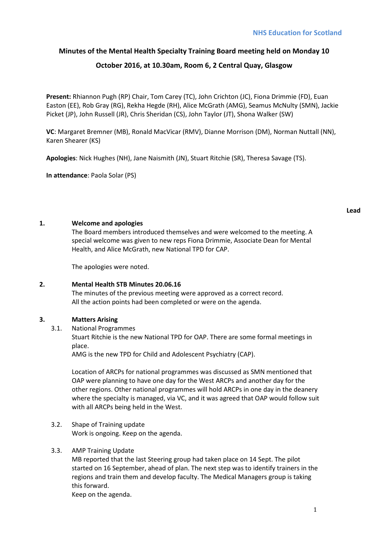# **Minutes of the Mental Health Specialty Training Board meeting held on Monday 10**

# **October 2016, at 10.30am, Room 6, 2 Central Quay, Glasgow**

**Present:** Rhiannon Pugh (RP) Chair, Tom Carey (TC), John Crichton (JC), Fiona Drimmie (FD), Euan Easton (EE), Rob Gray (RG), Rekha Hegde (RH), Alice McGrath (AMG), Seamus McNulty (SMN), Jackie Picket (JP), John Russell (JR), Chris Sheridan (CS), John Taylor (JT), Shona Walker (SW)

**VC**: Margaret Bremner (MB), Ronald MacVicar (RMV), Dianne Morrison (DM), Norman Nuttall (NN), Karen Shearer (KS)

**Apologies**: Nick Hughes (NH), Jane Naismith (JN), Stuart Ritchie (SR), Theresa Savage (TS).

**In attendance**: Paola Solar (PS)

### **1. Welcome and apologies**

The Board members introduced themselves and were welcomed to the meeting. A special welcome was given to new reps Fiona Drimmie, Associate Dean for Mental Health, and Alice McGrath, new National TPD for CAP.

The apologies were noted.

## **2. Mental Health STB Minutes 20.06.16**

The minutes of the previous meeting were approved as a correct record. All the action points had been completed or were on the agenda.

### **3. Matters Arising**

3.1. National Programmes

Stuart Ritchie is the new National TPD for OAP. There are some formal meetings in place.

AMG is the new TPD for Child and Adolescent Psychiatry (CAP).

Location of ARCPs for national programmes was discussed as SMN mentioned that OAP were planning to have one day for the West ARCPs and another day for the other regions. Other national programmes will hold ARCPs in one day in the deanery where the specialty is managed, via VC, and it was agreed that OAP would follow suit with all ARCPs being held in the West.

3.2. Shape of Training update Work is ongoing. Keep on the agenda.

### 3.3. AMP Training Update

MB reported that the last Steering group had taken place on 14 Sept. The pilot started on 16 September, ahead of plan. The next step was to identify trainers in the regions and train them and develop faculty. The Medical Managers group is taking this forward.

Keep on the agenda.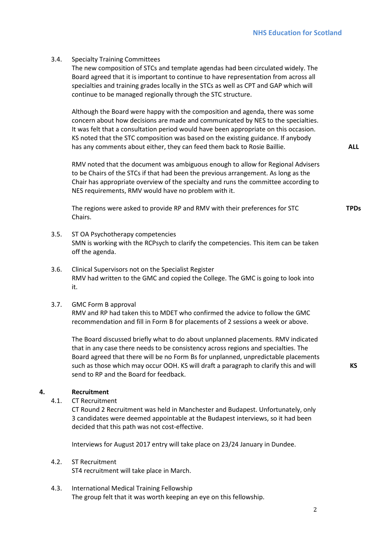### 3.4. Specialty Training Committees

The new composition of STCs and template agendas had been circulated widely. The Board agreed that it is important to continue to have representation from across all specialties and training grades locally in the STCs as well as CPT and GAP which will continue to be managed regionally through the STC structure.

Although the Board were happy with the composition and agenda, there was some concern about how decisions are made and communicated by NES to the specialties. It was felt that a consultation period would have been appropriate on this occasion. KS noted that the STC composition was based on the existing guidance. If anybody has any comments about either, they can feed them back to Rosie Baillie.

RMV noted that the document was ambiguous enough to allow for Regional Advisers to be Chairs of the STCs if that had been the previous arrangement. As long as the Chair has appropriate overview of the specialty and runs the committee according to NES requirements, RMV would have no problem with it.

The regions were asked to provide RP and RMV with their preferences for STC Chairs.

- 3.5. ST OA Psychotherapy competencies SMN is working with the RCPsych to clarify the competencies. This item can be taken off the agenda.
- 3.6. Clinical Supervisors not on the Specialist Register RMV had written to the GMC and copied the College. The GMC is going to look into it.
- 3.7. GMC Form B approval

RMV and RP had taken this to MDET who confirmed the advice to follow the GMC recommendation and fill in Form B for placements of 2 sessions a week or above.

The Board discussed briefly what to do about unplanned placements. RMV indicated that in any case there needs to be consistency across regions and specialties. The Board agreed that there will be no Form Bs for unplanned, unpredictable placements such as those which may occur OOH. KS will draft a paragraph to clarify this and will send to RP and the Board for feedback.

#### **4. Recruitment**

4.1. CT Recruitment

CT Round 2 Recruitment was held in Manchester and Budapest. Unfortunately, only 3 candidates were deemed appointable at the Budapest interviews, so it had been decided that this path was not cost-effective.

Interviews for August 2017 entry will take place on 23/24 January in Dundee.

## 4.2. ST Recruitment

ST4 recruitment will take place in March.

4.3. International Medical Training Fellowship The group felt that it was worth keeping an eye on this fellowship. **ALL**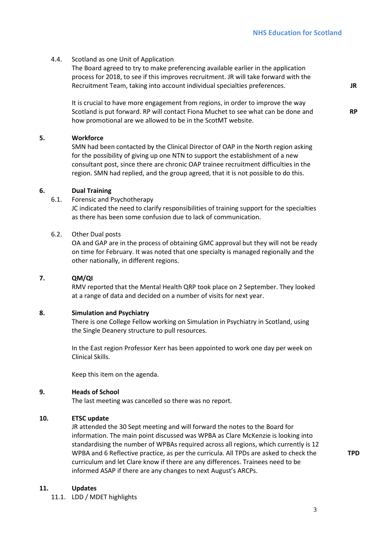### 4.4. Scotland as one Unit of Application

The Board agreed to try to make preferencing available earlier in the application process for 2018, to see if this improves recruitment. JR will take forward with the Recruitment Team, taking into account individual specialties preferences.

It is crucial to have more engagement from regions, in order to improve the way Scotland is put forward. RP will contact Fiona Muchet to see what can be done and how promotional are we allowed to be in the ScotMT website.

#### **5. Workforce**

SMN had been contacted by the Clinical Director of OAP in the North region asking for the possibility of giving up one NTN to support the establishment of a new consultant post, since there are chronic OAP trainee recruitment difficulties in the region. SMN had replied, and the group agreed, that it is not possible to do this.

### **6. Dual Training**

6.1. Forensic and Psychotherapy

JC indicated the need to clarify responsibilities of training support for the specialties as there has been some confusion due to lack of communication.

### 6.2. Other Dual posts

OA and GAP are in the process of obtaining GMC approval but they will not be ready on time for February. It was noted that one specialty is managed regionally and the other nationally, in different regions.

### **7. QM/QI**

RMV reported that the Mental Health QRP took place on 2 September. They looked at a range of data and decided on a number of visits for next year.

#### **8. Simulation and Psychiatry**

There is one College Fellow working on Simulation in Psychiatry in Scotland, using the Single Deanery structure to pull resources.

In the East region Professor Kerr has been appointed to work one day per week on Clinical Skills.

Keep this item on the agenda.

### **9. Heads of School**

The last meeting was cancelled so there was no report.

## **10. ETSC update**

JR attended the 30 Sept meeting and will forward the notes to the Board for information. The main point discussed was WPBA as Clare McKenzie is looking into standardising the number of WPBAs required across all regions, which currently is 12 WPBA and 6 Reflective practice, as per the curricula. All TPDs are asked to check the curriculum and let Clare know if there are any differences. Trainees need to be informed ASAP if there are any changes to next August's ARCPs.

#### **11. Updates**

11.1. LDD / MDET highlights

**TPD** 

**JR**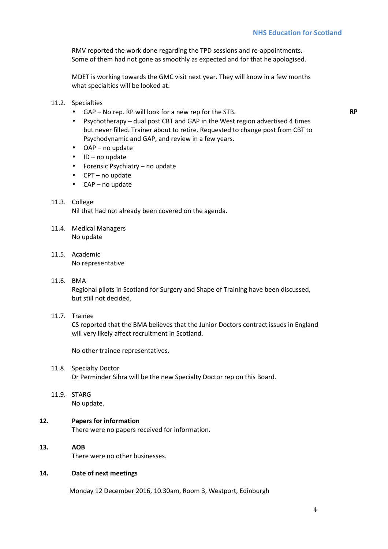RMV reported the work done regarding the TPD sessions and re-appointments. Some of them had not gone as smoothly as expected and for that he apologised.

MDET is working towards the GMC visit next year. They will know in a few months what specialties will be looked at.

- 11.2. Specialties
	- GAP No rep. RP will look for a new rep for the STB.

**RP** 

- Psychotherapy dual post CBT and GAP in the West region advertised 4 times but never filled. Trainer about to retire. Requested to change post from CBT to Psychodynamic and GAP, and review in a few years.
- OAP no update
- ID no update
- Forensic Psychiatry no update
- CPT no update
- CAP no update
- 11.3. College

Nil that had not already been covered on the agenda.

- 11.4. Medical Managers No update
- 11.5. Academic No representative
- 11.6. BMA

Regional pilots in Scotland for Surgery and Shape of Training have been discussed, but still not decided.

11.7. Trainee

CS reported that the BMA believes that the Junior Doctors contract issues in England will very likely affect recruitment in Scotland.

No other trainee representatives.

11.8. Specialty Doctor

Dr Perminder Sihra will be the new Specialty Doctor rep on this Board.

11.9. STARG

No update.

## **12. Papers for information**

There were no papers received for information.

**13. AOB**

There were no other businesses.

### **14. Date of next meetings**

Monday 12 December 2016, 10.30am, Room 3, Westport, Edinburgh